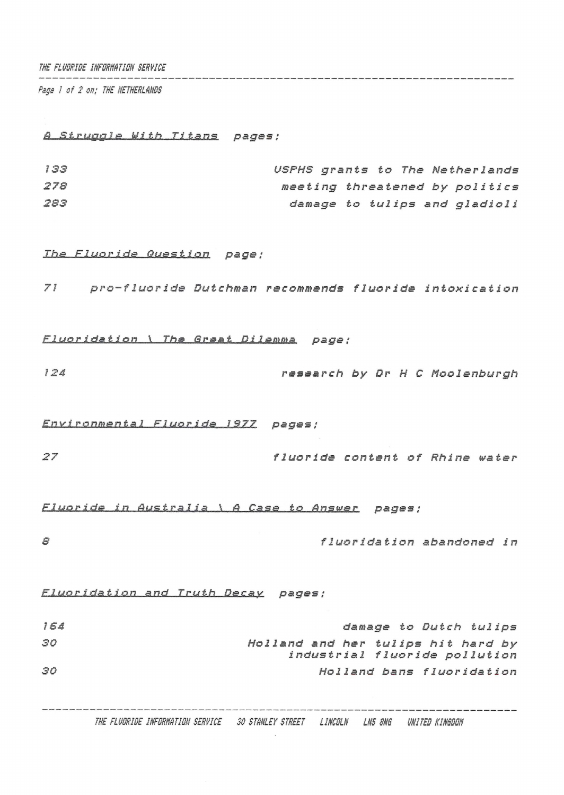## *THE FLUORIDE INFORMATION SERVICE*

*Pigs ! of 2 on; THE NETHERLANDS*

## *<sup>A</sup> Struggle Uith Titans pages ;*

| 133 |  |  |  | USPHS grants to The Netherlands |
|-----|--|--|--|---------------------------------|
| 278 |  |  |  | meeting threatened by politics  |
| 283 |  |  |  | damage to tulips and gladioli   |

## *The Fluoride Question page;*

*<sup>71</sup> pro-fluoride Dutchman recommends fluoride intoxication*

*Fluoridation \\_\_ The.. Q.r.aat Dilemma page;*

*124 research by Dr <sup>H</sup> <sup>C</sup> Moolenburgh*

*Environmental Fluoride 1877 pages;*

*27 fluoride content of Rhine water*

*Fluoride in Australia \ <sup>A</sup> Case to Answer pages ;*

*<sup>8</sup> fluoridation abandoned in*

*Fluoridation and Truth Decay pages ;*

| 154             | damage to Dutch tulips                                              |
|-----------------|---------------------------------------------------------------------|
| 30              | Holland and her tulips hit hard by<br>industrial fluoride pollution |
| 30 <sub>o</sub> | Holland bans fluoridation                                           |